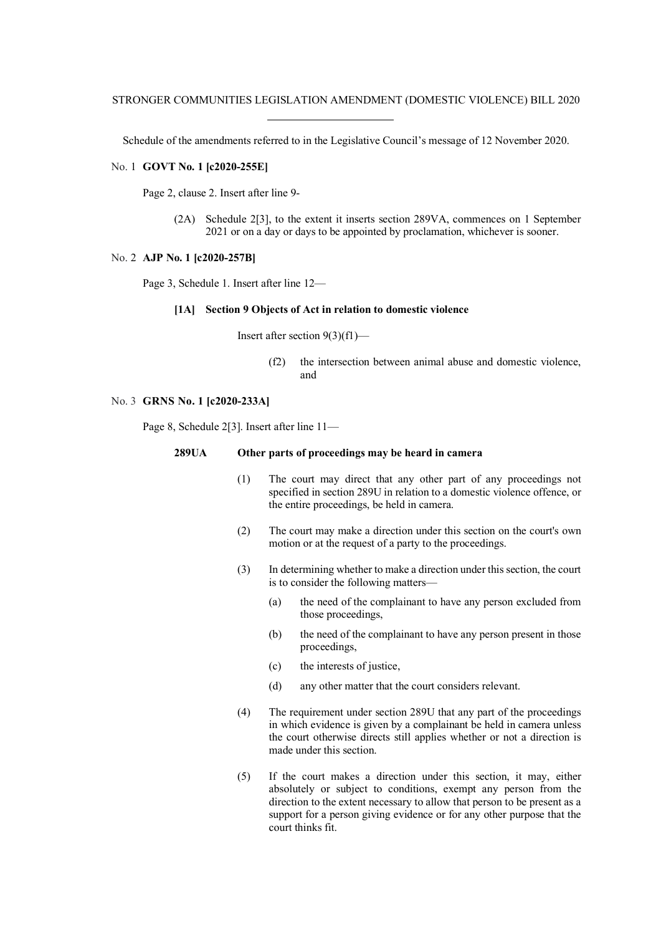Schedule of the amendments referred to in the Legislative Council's message of 12 November 2020.

### No. 1 **GOVT No. 1 [c2020-255E]**

Page 2, clause 2. Insert after line 9-

(2A) Schedule 2[3], to the extent it inserts section 289VA, commences on 1 September 2021 or on a day or days to be appointed by proclamation, whichever is sooner.

#### No. 2 **AJP No. 1 [c2020-257B]**

Page 3, Schedule 1. Insert after line 12—

# **[1A] Section 9 Objects of Act in relation to domestic violence**

Insert after section 9(3)(f1)—

(f2) the intersection between animal abuse and domestic violence, and

#### No. 3 **GRNS No. 1 [c2020-233A]**

Page 8, Schedule 2[3]. Insert after line 11—

## **289UA Other parts of proceedings may be heard in camera**

- (1) The court may direct that any other part of any proceedings not specified in section 289U in relation to a domestic violence offence, or the entire proceedings, be held in camera.
- (2) The court may make a direction under this section on the court's own motion or at the request of a party to the proceedings.
- (3) In determining whether to make a direction under this section, the court is to consider the following matters—
	- (a) the need of the complainant to have any person excluded from those proceedings,
	- (b) the need of the complainant to have any person present in those proceedings,
	- (c) the interests of justice,
	- (d) any other matter that the court considers relevant.
- (4) The requirement under section 289U that any part of the proceedings in which evidence is given by a complainant be held in camera unless the court otherwise directs still applies whether or not a direction is made under this section.
- (5) If the court makes a direction under this section, it may, either absolutely or subject to conditions, exempt any person from the direction to the extent necessary to allow that person to be present as a support for a person giving evidence or for any other purpose that the court thinks fit.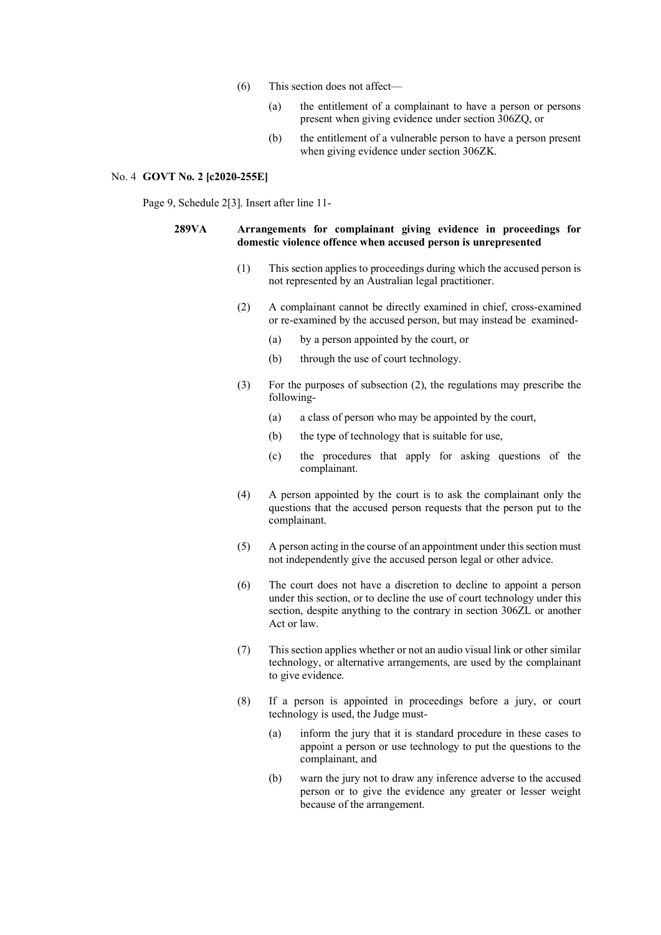- (6) This section does not affect—
	- (a) the entitlement of a complainant to have a person or persons present when giving evidence under section 306ZQ, or
	- (b) the entitlement of a vulnerable person to have a person present when giving evidence under section 306ZK.

### No. 4 **GOVT No. 2 [c2020-255E]**

Page 9, Schedule 2[3]. Insert after line 11-

## **289VA Arrangements for complainant giving evidence in proceedings for domestic violence offence when accused person is unrepresented**

- (1) This section applies to proceedings during which the accused person is not represented by an Australian legal practitioner.
- (2) A complainant cannot be directly examined in chief, cross-examined or re-examined by the accused person, but may instead be examined-
	- (a) by a person appointed by the court, or
	- (b) through the use of court technology.
- (3) For the purposes of subsection (2), the regulations may prescribe the following-
	- (a) a class of person who may be appointed by the court,
	- (b) the type of technology that is suitable for use,
	- (c) the procedures that apply for asking questions of the complainant.
- (4) A person appointed by the court is to ask the complainant only the questions that the accused person requests that the person put to the complainant.
- (5) A person acting in the course of an appointment under this section must not independently give the accused person legal or other advice.
- (6) The court does not have a discretion to decline to appoint a person under this section, or to decline the use of court technology under this section, despite anything to the contrary in section 306ZL or another Act or law.
- (7) This section applies whether or not an audio visual link or other similar technology, or alternative arrangements, are used by the complainant to give evidence.
- (8) If a person is appointed in proceedings before a jury, or court technology is used, the Judge must-
	- (a) inform the jury that it is standard procedure in these cases to appoint a person or use technology to put the questions to the complainant, and
	- (b) warn the jury not to draw any inference adverse to the accused person or to give the evidence any greater or lesser weight because of the arrangement.